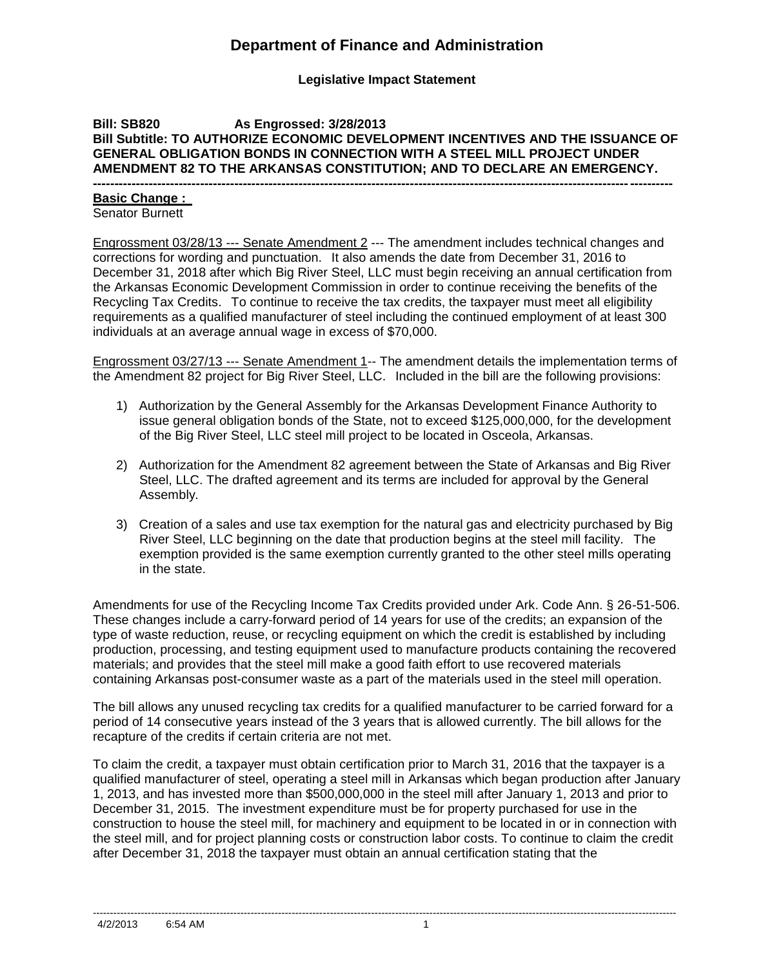## **Department of Finance and Administration**

**Legislative Impact Statement**

#### **Bill: SB820 As Engrossed: 3/28/2013 Bill Subtitle: TO AUTHORIZE ECONOMIC DEVELOPMENT INCENTIVES AND THE ISSUANCE OF GENERAL OBLIGATION BONDS IN CONNECTION WITH A STEEL MILL PROJECT UNDER AMENDMENT 82 TO THE ARKANSAS CONSTITUTION; AND TO DECLARE AN EMERGENCY.**

**---------------------------------------------------------------------------------------------------------------------------------------**

#### **Basic Change :**

Senator Burnett

Engrossment 03/28/13 --- Senate Amendment 2 --- The amendment includes technical changes and corrections for wording and punctuation. It also amends the date from December 31, 2016 to December 31, 2018 after which Big River Steel, LLC must begin receiving an annual certification from the Arkansas Economic Development Commission in order to continue receiving the benefits of the Recycling Tax Credits. To continue to receive the tax credits, the taxpayer must meet all eligibility requirements as a qualified manufacturer of steel including the continued employment of at least 300 individuals at an average annual wage in excess of \$70,000.

Engrossment 03/27/13 --- Senate Amendment 1-- The amendment details the implementation terms of the Amendment 82 project for Big River Steel, LLC. Included in the bill are the following provisions:

- 1) Authorization by the General Assembly for the Arkansas Development Finance Authority to issue general obligation bonds of the State, not to exceed \$125,000,000, for the development of the Big River Steel, LLC steel mill project to be located in Osceola, Arkansas.
- 2) Authorization for the Amendment 82 agreement between the State of Arkansas and Big River Steel, LLC. The drafted agreement and its terms are included for approval by the General Assembly.
- 3) Creation of a sales and use tax exemption for the natural gas and electricity purchased by Big River Steel, LLC beginning on the date that production begins at the steel mill facility. The exemption provided is the same exemption currently granted to the other steel mills operating in the state.

Amendments for use of the Recycling Income Tax Credits provided under Ark. Code Ann. § 26-51-506. These changes include a carry-forward period of 14 years for use of the credits; an expansion of the type of waste reduction, reuse, or recycling equipment on which the credit is established by including production, processing, and testing equipment used to manufacture products containing the recovered materials; and provides that the steel mill make a good faith effort to use recovered materials containing Arkansas post-consumer waste as a part of the materials used in the steel mill operation.

The bill allows any unused recycling tax credits for a qualified manufacturer to be carried forward for a period of 14 consecutive years instead of the 3 years that is allowed currently. The bill allows for the recapture of the credits if certain criteria are not met.

To claim the credit, a taxpayer must obtain certification prior to March 31, 2016 that the taxpayer is a qualified manufacturer of steel, operating a steel mill in Arkansas which began production after January 1, 2013, and has invested more than \$500,000,000 in the steel mill after January 1, 2013 and prior to December 31, 2015. The investment expenditure must be for property purchased for use in the construction to house the steel mill, for machinery and equipment to be located in or in connection with the steel mill, and for project planning costs or construction labor costs. To continue to claim the credit after December 31, 2018 the taxpayer must obtain an annual certification stating that the